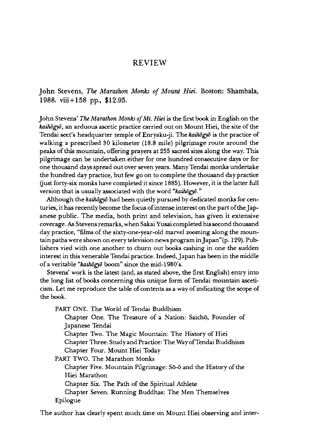## **REVIEW**

**John Stevens,** *The Marathon Monks of Mount Hiei.* **Boston: Shambala**, **1988. viii+ 158 pp., \$12.95.**

John Stevens' *The Marathon Monks of Mt. Hiei* is the first book in English on the *kaihogyo,* an arduous ascetic practice carried out on Mount Hiei, the site of the Tendai sect's headquarter temple of Enryaku-ji. The *kaihogyo* is the practice of walking a prescribed SO kilometer (18.8 mile) pilgrimage route around the peaks of this mountain, offering prayers at 255 sacred sites along the way. This pilgrimage can be undertaken either for one hundred consecutive days or for one thousand days spread out over seven years. Many Tendai monks undertake the hundred day practice, but few go on to complete the thousand day practice (just forty-six monks have completed it since 1885). However, it is the latter full version that is usually associated with the word *"kaihdgyd ,,'*

Although the *kaihdgyd* had been quietly pursued by dedicated monks for centuries, it has recently become the focus of intense interest on the part of the Japanese public. The media, both print and television, has given it extensive coverage. As Stevens remarks, when Sakai Yusai completed his second thousand day practice, "films of the sixty-one-year-old marvel zooming along the mountain paths were shown on every television news program in Japan"(p.129). Publishers vied with one another to churn out books cashing in one the sudden interest in this venerable Tendai practice. Indeed, Japan has been in the middle of a veritable *"kaihdgyd* boom" since the mid-1980's.

Stevens' work is the latest (and, as stated above, the first English) entry into the long list of books concerning this unique form of Tendai mountain asceticism. Let me reproduce the table of contents as a way of indicating the scope of the book.

PART ONE. The World of Tendai Buddhism Chapter One. The Treasure of a Nation: Saicho, Founder of Japanese Tendai Chapter Two. The Magic Mountain: The History of Hiei Chapter Three. Study and Practice: The Way ofTendai Buddhism Chapter Four. Mount Hiei Today PART TWO. The Marathon Monks Chapter Five. Mountain Pilgrimage: Sō-ō and the History of the Hiei Marathon Chapter Six. The Path of the Spiritual Athlete Chapter Seven. Running Buddhas: The Men Themselves

Epilogue

The author has clearly spent much time on Mount Hiei observing and inter-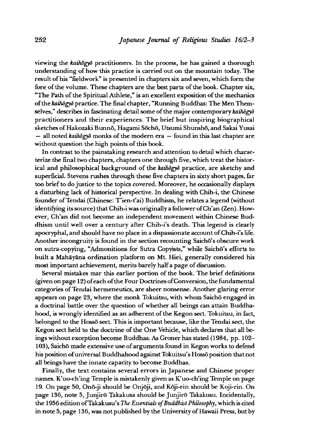viewing the *kaihdgyd* practitioners. In the process, he has gained a thorough understanding of how this practice is carried out on the mountain today. The result of his "fieldwork" is presented in chapters six and seven, which form the fore of the volume. These chapters are the best parts of the book. Chapter six, "The Path of the Spiritual Athlete," is an excellent exposition of the mechanics of the *kaihogyo* practice. The final chapter, "Running Buddhas: The Men Themselves," describes in fascinating detail some of the major contemporary *kaihōgyō* practitioners and their experiences. The brief but inspiring biographical sketches of Hakozaki Bunnō, Hagami Sōchō, Utsumi Shunshō, and Sakai Yusai — all noted *kaihdgyd* monks of the modem era — found in this last chapter are without question the high points of this book.

In contrast to the painstaking research and attention to detail which characterize the final two chapters, chapters one through five,which treat the historical and philosophical background of the *kaihdgyd* practice, are sketchy and superficial. Stevens rushes through these five chapters in sixty short pages, far too brief to do justice to the topics covered. Moreover, he occasionally displays a disturbing lack of historical perspective. In dealing with Chih-i, the Chinese founder of Tendai (Chinese: T'ien-t'ai) Buddhism, he relates a legend (without identifying its source) that Chih-i was originally a follower of Ch'an (Zen). However, Ch'an did not become an independent movement within Chinese Buddhism until well over a century after Chih-i's death. This legend is clearly apocryphal, and should have no place in a dispassionate account of Chih-i's life. Another incongruity is found in the section recounting Saichō's obscure work on sutra-copying, "Admonitions for Sutra Copyists," while Saicho's efforts to built a Mahayana ordination platform on Mt. Hiei, generally considered his most important achievement, merits barely half a page of discussion.

Several mistakes mar this earlier portion of the book. The brief definitions (given on page 12) of each of the Four Doctrines of Conversion, the fundamental categories of Tendai hermeneutics, are sheer nonsense. Another glaring error appears on page 23, where the monk Tokuitsu, with whom Saichō engaged in a doctrinal battle over the question of whether all beings can attain Buddhahood, is wrongly identified as an adherent of the Kegon sect. Tokuitsu, in fact, belonged to the Hosso sect. This is important because, like the Tendai sect, the Kegon sect held to the doctrine of the One Vehicle, which declares that all beings without exception become Buddhas. As Groner has stated (1984, pp. 102— 103), Saicho made extensive use of arguments found in Kegon works to defend his position of universal Buddhahood against Tokuitsu's Hossō position that not all beings have the innate capacity to become Buddhas.

Finally, the text contains several errors in Japanese and Chinese proper names. K uo-ch'ing Temple is mistakenly given as K'uo-ch'ing Temple on page 19. On page 50 Ono-ji should be Onjoji, and Koji-rin should be Koji-rin. On page 136, note 5, Junjiro Takakusa should be Junjiro Takakusu. Incidentally, the 1956 edition ofTakakusu's *The Essentials of Buddhist Philosophy,* which is cited in note 5,page 136,was not published by the University of Hawaii Press, but by